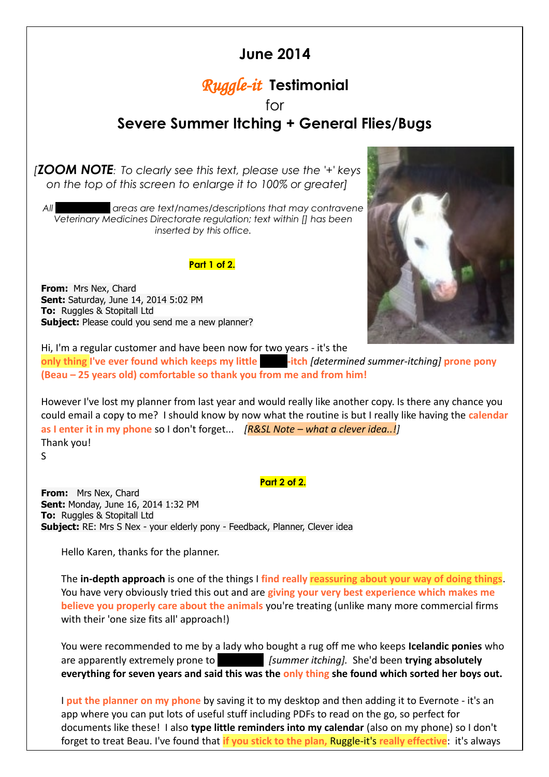## **June 2014**

# *Ruggle-it* **Testimonial**

### for **Severe Summer Itching + General Flies/Bugs**

*[ZOOM NOTE: To clearly see this text, please use the '+' keys on the top of this screen to enlarge it to 100% or greater]*

*All blacked out areas are text/names/descriptions that may contravene Veterinary Medicines Directorate regulation; text within [] has been inserted by this office.*

#### **Part 1 of 2.**

**From:** Mrs Nex, Chard **Sent:** Saturday, June 14, 2014 5:02 PM **To:** Ruggles & Stopitall Ltd **Subject:** Please could you send me a new planner?



Hi, I'm a regular customer and have been now for two years - it's the **only thing I've ever found which keeps my little <b>shipper-itch [determined summer-itching] prone pony (Beau – 25 years old) comfortable so thank you from me and from him!**

However I've lost my planner from last year and would really like another copy. Is there any chance you could email a copy to me? I should know by now what the routine is but I really like having the **calendar as I enter it in my phone** so I don't forget... *[R&SL Note – what a clever idea..!]* Thank you!

S

### **Part 2 of 2.**

**From:** Mrs Nex, Chard **Sent:** Monday, June 16, 2014 1:32 PM **To:** Ruggles & Stopitall Ltd **Subject:** RE: Mrs S Nex - your elderly pony - Feedback, Planner, Clever idea

Hello Karen, thanks for the planner.

The **in-depth approach** is one of the things I **find really reassuring about your way of doing things**. You have very obviously tried this out and are **giving your very best experience which makes me believe you properly care about the animals** you're treating (unlike many more commercial firms with their 'one size fits all' approach!)

You were recommended to me by a lady who bought a rug off me who keeps **Icelandic ponies** who are apparently extremely prone to sweet *[summer itching]*. She'd been **trying absolutely everything for seven years and said this was the only thing she found which sorted her boys out.**

I **put the planner on my phone** by saving it to my desktop and then adding it to Evernote - it's an app where you can put lots of useful stuff including PDFs to read on the go, so perfect for documents like these! I also **type little reminders into my calendar** (also on my phone) so I don't forget to treat Beau. I've found that **if you stick to the plan,** Ruggle-it's **really effective**: it's always